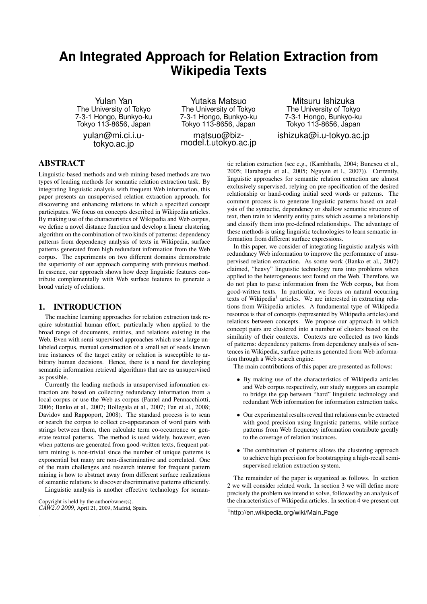# **An Integrated Approach for Relation Extraction from Wikipedia Texts**

Yulan Yan The University of Tokyo 7-3-1 Hongo, Bunkyo-ku Tokyo 113-8656, Japan yulan@mi.ci.i.u-

tokyo.ac.jp

Yutaka Matsuo The University of Tokyo 7-3-1 Hongo, Bunkyo-ku Tokyo 113-8656, Japan

matsuo@bizmodel.t.utokyo.ac.jp

Mitsuru Ishizuka The University of Tokyo 7-3-1 Hongo, Bunkyo-ku Tokyo 113-8656, Japan ishizuka@i.u-tokyo.ac.jp

# ABSTRACT

Linguistic-based methods and web mining-based methods are two types of leading methods for semantic relation extraction task. By integrating linguistic analysis with frequent Web information, this paper presents an unsupervised relation extraction approach, for discovering and enhancing relations in which a specified concept participates. We focus on concepts described in Wikipedia articles. By making use of the characteristics of Wikipedia and Web corpus, we define a novel distance function and develop a linear clustering algorithm on the combination of two kinds of patterns: dependency patterns from dependency analysis of texts in Wikipedia, surface patterns generated from high redundant information from the Web corpus. The experiments on two different domains demonstrate the superiority of our approach comparing with previous method. In essence, our approach shows how deep linguistic features contribute complementally with Web surface features to generate a broad variety of relations.

# 1. INTRODUCTION

The machine learning approaches for relation extraction task require substantial human effort, particularly when applied to the broad range of documents, entities, and relations existing in the Web. Even with semi-supervised approaches which use a large unlabeled corpus, manual construction of a small set of seeds known true instances of the target entity or relation is susceptible to arbitrary human decisions. Hence, there is a need for developing semantic information retrieval algorithms that are as unsupervised as possible.

Currently the leading methods in unsupervised information extraction are based on collecting redundancy information from a local corpus or use the Web as corpus (Pantel and Pennacchiotti, 2006; Banko et al., 2007; Bollegala et al., 2007; Fan et al., 2008; Davidov and Rappoport, 2008). The standard process is to scan or search the corpus to collect co-appearances of word pairs with strings between them, then calculate term co-occurrence or generate textual patterns. The method is used widely, however, even when patterns are generated from good-written texts, frequent pattern mining is non-trivial since the number of unique patterns is exponential but many are non-discriminative and correlated. One of the main challenges and research interest for frequent pattern mining is how to abstract away from different surface realizations of semantic relations to discover discriminative patterns efficiently. Linguistic analysis is another effective technology for seman-

Copyright is held by the author/owner(s). *CAW2.0 2009*, April 21, 2009, Madrid, Spain.

.

tic relation extraction (see e.g., (Kambhatla, 2004; Bunescu et al., 2005; Harabagiu et al., 2005; Nguyen et l., 2007)). Currently, linguistic approaches for semantic relation extraction are almost exclusively supervised, relying on pre-specification of the desired relationship or hand-coding initial seed words or patterns. The common process is to generate linguistic patterns based on analysis of the syntactic, dependency or shallow semantic structure of text, then train to identify entity pairs which assume a relationship and classify them into pre-defined relationships. The advantage of these methods is using linguistic technologies to learn semantic information from different surface expressions.

In this paper, we consider of integrating linguistic analysis with redundancy Web information to improve the performance of unsupervised relation extraction. As some work (Banko et al., 2007) claimed, "heavy" linguistic technology runs into problems when applied to the heterogeneous text found on the Web. Therefore, we do not plan to parse information from the Web corpus, but from good-written texts. In particular, we focus on natural occurring texts of Wikipedia<sup>1</sup> articles. We are interested in extracting relations from Wikipedia articles. A fundamental type of Wikipedia resource is that of concepts (represented by Wikipedia articles) and relations between concepts. We propose our approach in which concept pairs are clustered into a number of clusters based on the similarity of their contexts. Contexts are collected as two kinds of patterns: dependency patterns from dependency analysis of sentences in Wikipedia, surface patterns generated from Web information through a Web search engine.

The main contributions of this paper are presented as follows:

- By making use of the characteristics of Wikipedia articles and Web corpus respectively, our study suggests an example to bridge the gap between "hard" linguistic technology and redundant Web information for information extraction tasks.
- Our experimental results reveal that relations can be extracted with good precision using linguistic patterns, while surface patterns from Web frequency information contribute greatly to the coverage of relation instances.
- The combination of patterns allows the clustering approach to achieve high precision for bootstrapping a high-recall semisupervised relation extraction system.

The remainder of the paper is organized as follows. In section 2 we will consider related work. In section 3 we will define more precisely the problem we intend to solve, followed by an analysis of the characteristics of Wikipedia articles. In section 4 we present out

<sup>1</sup> http://en.wikipedia.org/wiki/Main Page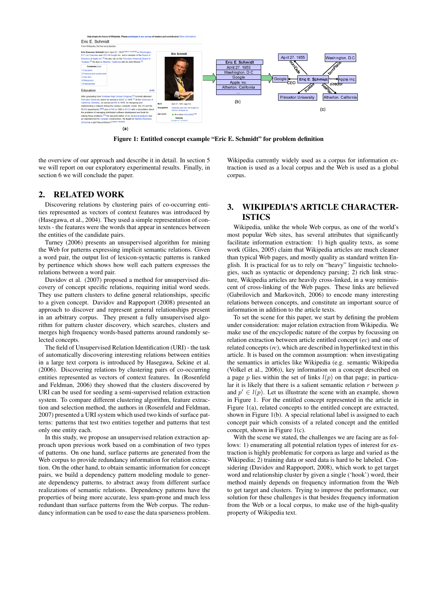

Figure 1: Entitled concept example "Eric E. Schmidt" for problem definition

the overview of our approach and describe it in detail. In section 5 we will report on our exploratory experimental results. Finally, in section 6 we will conclude the paper.

## 2. RELATED WORK

Discovering relations by clustering pairs of co-occurring entities represented as vectors of context features was introduced by (Hasegawa, et al., 2004). They used a simple representation of contexts - the features were the words that appear in sentences between the entities of the candidate pairs.

Turney (2006) presents an unsupervised algorithm for mining the Web for patterns expressing implicit semantic relations. Given a word pair, the output list of lexicon-syntactic patterns is ranked by pertinence which shows how well each pattern expresses the relations between a word pair.

Davidov et al. (2007) proposed a method for unsupervised discovery of concept specific relations, requiring initial word seeds. They use pattern clusters to define general relationships, specific to a given concept. Davidov and Rappoport (2008) presented an approach to discover and represent general relationships present in an arbitrary corpus. They present a fully unsupervised algorithm for pattern cluster discovery, which searches, clusters and merges high frequency words-based patterns around randomly selected concepts.

The field of Unsupervised Relation Identification (URI) - the task of automatically discovering interesting relations between entities in a large text corpora is introduced by Hasegawa, Sekine et al. (2006). Discovering relations by clustering pairs of co-occurring entities represented as vectors of context features. In (Rosenfeld and Feldman, 2006) they showed that the clusters discovered by URI can be used for seeding a semi-supervised relation extraction system. To compare different clustering algorithm, feature extraction and selection method, the authors in (Rosenfeld and Feldman, 2007) presented a URI system which used two kinds of surface patterns: patterns that test two entities together and patterns that test only one entity each.

In this study, we propose an unsupervised relation extraction approach upon previous work based on a combination of two types of patterns. On one hand, surface patterns are generated from the Web corpus to provide redundancy information for relation extraction. On the other hand, to obtain semantic information for concept pairs, we build a dependency pattern modeling module to generate dependency patterns, to abstract away from different surface realizations of semantic relations. Dependency patterns have the properties of being more accurate, less spam-prone and much less redundant than surface patterns from the Web corpus. The redundancy information can be used to ease the data sparseness problem.

Wikipedia currently widely used as a corpus for information extraction is used as a local corpus and the Web is used as a global corpus.

# 3. WIKIPEDIA'S ARTICLE CHARACTER-ISTICS

Wikipedia, unlike the whole Web corpus, as one of the world's most popular Web sites, has several attributes that significantly facilitate information extraction: 1) high quality texts, as some work (Giles, 2005) claim that Wikipedia articles are much cleaner than typical Web pages, and mostly quality as standard written English. It is practical for us to rely on "heavy" linguistic technologies, such as syntactic or dependency parsing; 2) rich link structure, Wikipedia articles are heavily cross-linked, in a way reminiscent of cross-linking of the Web pages. These links are believed (Gabrilovich and Markovitch, 2006) to encode many interesting relations between concepts, and constitute an important source of information in addition to the article texts.

To set the scene for this paper, we start by defining the problem under consideration: major relation extraction from Wikipedia. We make use of the encyclopedic nature of the corpus by focussing on relation extraction between article entitled concept (*ec*) and one of related concepts (*rc*), which are described in hyperlinked text in this article. It is based on the common assumption: when investigating the semantics in articles like Wikipedia (e.g. semantic Wikipedia (Volkel et al., 2006)), key information on a concept described on a page p lies within the set of links  $l(p)$  on that page; in particular it is likely that there is a salient semantic relation  $r$  between  $p$ and  $p' \in l(p)$ . Let us illustrate the scene with an example, shown in Figure 1. For the entitled concept represented in the article in Figure 1(a), related concepts to the entitled concept are extracted, shown in Figure 1(b). A special relational label is assigned to each concept pair which consists of a related concept and the entitled concept, shown in Figure 1(c).

With the scene we stated, the challenges we are facing are as follows: 1) enumerating all potential relation types of interest for extraction is highly problematic for corpora as large and varied as the Wikipedia; 2) training data or seed data is hard to be labeled. Considering (Davidov and Rappoport, 2008), which work to get target word and relationship cluster by given a single ('hook') word, their method mainly depends on frequency information from the Web to get target and clusters. Trying to improve the performance, our solution for these challenges is that besides frequency information from the Web or a local corpus, to make use of the high-quality property of Wikipedia text.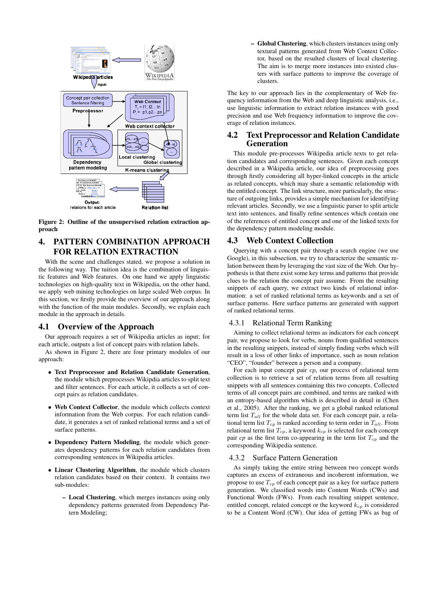

Figure 2: Outline of the unsupervised relation extraction approach

# 4. PATTERN COMBINATION APPROACH FOR RELATION EXTRACTION

With the scene and challenges stated, we propose a solution in the following way. The tuition idea is the combination of linguistic features and Web features. On one hand we apply linguistic technologies on high-quality text in Wikipedia, on the other hand, we apply web mining technologies on large scaled Web corpus. In this section, we firstly provide the overview of our approach along with the function of the main modules. Secondly, we explain each module in the approach in details.

# 4.1 Overview of the Approach

Our approach requires a set of Wikipedia articles as input; for each article, outputs a list of concept pairs with relation labels.

As shown in Figure 2, there are four primary modules of our approach:

- Text Preprocessor and Relation Candidate Generation, the module which preprocesses Wikipdia articles to split text and filter sentences. For each article, it collects a set of concept pairs as relation candidates.
- Web Context Collector, the module which collects context information from the Web corpus. For each relation candidate, it generates a set of ranked relational terms and a set of surface patterns.
- Dependency Pattern Modeling, the module which generates dependency patterns for each relation candidates from corresponding sentences in Wikipedia articles.
- Linear Clustering Algorithm, the module which clusters relation candidates based on their context. It contains two sub-modules:
	- Local Clustering, which merges instances using only dependency patterns generated from Dependency Pattern Modeling;

– Global Clustering, which clusters instances using only textural patterns generated from Web Context Collector, based on the resulted clusters of local clustering. The aim is to merge more instances into existed clusters with surface patterns to improve the coverage of clusters.

The key to our approach lies in the complementary of Web frequency information from the Web and deep linguistic analysis, i.e., use linguistic information to extract relation instances with good precision and use Web frequency information to improve the coverage of relation instances.

# 4.2 Text Preprocessor and Relation Candidate Generation

This module pre-processes Wikipedia article texts to get relation candidates and corresponding sentences. Given each concept described in a Wikipedia article, our idea of preprocessing goes through firstly considering all hyper-linked concepts in the article as related concepts, which may share a semantic relationship with the entitled concept. The link structure, more particularly, the structure of outgoing links, provides a simple mechanism for identifying relevant articles. Secondly, we use a linguistic parser to split article text into sentences, and finally refine sentences which contain one of the references of entitled concept and one of the linked texts for the dependency pattern modeling module.

# 4.3 Web Context Collection

Querying with a concept pair through a search engine (we use Google), in this subsection, we try to characterize the semantic relation between them by leveraging the vast size of the Web. Our hypothesis is that there exist some key terms and patterns that provide clues to the relation the concept pair assume. From the resulting snippets of each query, we extract two kinds of relational information: a set of ranked relational terms as keywords and a set of surface patterns. Here surface patterns are generated with support of ranked relational terms.

### 4.3.1 Relational Term Ranking

Aiming to collect relational terms as indicators for each concept pair, we propose to look for verbs, nouns from qualified sentences in the resulting snippets, instead of simply finding verbs which will result in a loss of other links of importance, such as noun relation "CEO", "founder" between a person and a company.

For each input concept pair cp, our process of relational term collection is to retrieve a set of relation terms from all resulting snippets with all sentences containing this two concepts. Collected terms of all concept pairs are combined, and terms are ranked with an entropy-based algorithm which is described in detail in (Chen et al., 2005). After the ranking, we get a global ranked relational term list  $T_{all}$  for the whole data set. For each concept pair, a relational term list  $T_{cp}$  is ranked according to term order in  $T_{all}$ . From relational term list  $T_{cp}$ , a keyword  $k_{cp}$  is selected for each concept pair *cp* as the first term co-appearing in the term list  $T_{cp}$  and the corresponding Wikipedia sentence.

#### 4.3.2 Surface Pattern Generation

As simply taking the entire string between two concept words captures an excess of extraneous and incoherent information, we propose to use  $T_{cp}$  of each concept pair as a key for surface pattern generation. We classified words into Content Words (CWs) and Functional Words (FWs). From each resulting snippet sentence, entitled concept, related concept or the keyword  $k_{cp}$  is considered to be a Content Word (CW). Our idea of getting FWs as bag of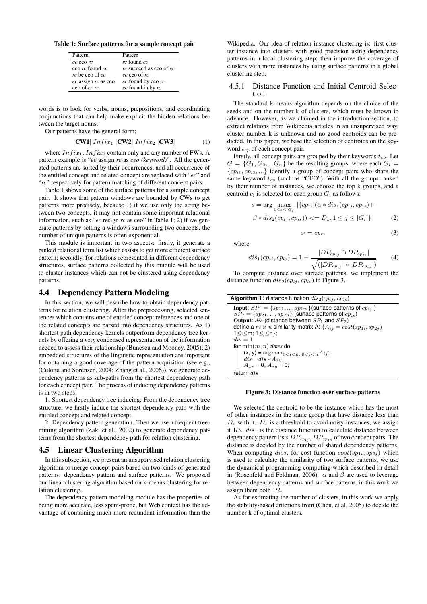Table 1: Surface patterns for a sample concept pair

| Pattern                   | Pattern                 |
|---------------------------|-------------------------|
| ec ceo rc                 | rc found ec             |
| ceo rc found ec           | rc succeed as ceo of ec |
| rc be ceo of ec           | ec ceo of rc            |
| $ec$ assign $rc$ as $ceo$ | $ec$ found by ceo $rc$  |
| $ceo$ of <i>ec</i> $rc$   | ec found in by rc       |

words is to look for verbs, nouns, prepositions, and coordinating conjunctions that can help make explicit the hidden relations between the target nouns.

Our patterns have the general form:

$$
[\text{CW1}] \; Infix_1 \; [\text{CW2}] \; Infix_2 \; [\text{CW3}] \tag{1}
$$

where  $Infix_1, Infix_2$  contain only and any number of FWs. A pattern example is "*ec* assign *rc* as *ceo (keyword)*". All the generated patterns are sorted by their occurrences, and all occurrence of the entitled concept and related concept are replaced with "*ec*" and "*rc*" respectively for pattern matching of different concept pairs.

Table 1 shows some of the surface patterns for a sample concept pair. It shows that pattern windows are bounded by CWs to get patterns more precisely, because 1) if we use only the string between two concepts, it may not contain some important relational information, such as "*ec* resign *rc* as ceo" in Table 1; 2) if we generate patterns by setting a windows surrounding two concepts, the number of unique patterns is often exponential.

This module is important in two aspects: firstly, it generate a ranked relational term list which assists to get more efficient surface pattern; secondly, for relations represented in different dependency structures, surface patterns collected by this mudule will be used to cluster instances which can not be clustered using dependency patterns.

#### 4.4 Dependency Pattern Modeling

In this section, we will describe how to obtain dependency patterns for relation clustering. After the preprocessing, selected sentences which contains one of entitled concept references and one of the related concepts are parsed into dependency structures. As 1) shortest path dependency kernels outperform dependency tree kernels by offering a very condensed representation of the information needed to assess their relationship (Bunescu and Mooney, 2005); 2) embedded structures of the linguistic representation are important for obtaining a good coverage of the pattern acquisition (see e.g., (Culotta and Sorensen, 2004; Zhang et al., 2006)), we generate dependency patterns as sub-paths from the shortest dependency path for each concept pair. The process of inducing dependency patterns is in two steps:

1. Shortest dependency tree inducing. From the dependency tree structure, we firstly induce the shortest dependency path with the entitled concept and related concept.

2. Dependency pattern generation. Then we use a frequent treemining algorithm (Zaki et al., 2002) to generate dependency patterns from the shortest dependency path for relation clustering.

#### 4.5 Linear Clustering Algorithm

In this subsection, we present an unsupervised relation clustering algorithm to merge concept pairs based on two kinds of generated patterns: dependency pattern and surface patterns. We proposed our linear clustering algorithm based on k-means clustering for relation clustering.

The dependency pattern modeling module has the properties of being more accurate, less spam-prone, but Web context has the advantage of containing much more redundant information than the

Wikipedia. Our idea of relation instance clustering is: first cluster instance into clusters with good precision using dependency patterns in a local clustering step; then improve the coverage of clusters with more instances by using surface patterns in a global clustering step.

#### 4.5.1 Distance Function and Initial Centroid Selection

The standard k-means algorithm depends on the choice of the seeds and on the number k of clusters, which must be known in advance. However, as we claimed in the introduction section, to extract relations from Wikipedia articles in an unsupervised way, cluster number k is unknown and no good centroids can be predicted. In this paper, we base the selection of centroids on the keyword  $t_{cp}$  of each concept pair.

Firstly, all concept pairs are grouped by their keywords  $t_{cp}$ . Let  $G = \{G_1, G_2, ... G_n\}$  be the resulting groups, where each  $G_i$  ${cp_{i1}, cp_{i2}, ...}$  identify a group of concept pairs who share the same keyword  $t_{cp}$  (such as "CEO"). With all the groups ranked by their number of instances, we choose the top k groups, and a centroid  $c_i$  is selected for each group  $G_i$  as follows:

$$
s = \arg \max_{1 \le s \le |G_i|} |\{cp_{ij}|(\alpha * dis_1(cp_{ij}, cp_{is}) + \beta * dis_2(cp_{ij}, cp_{is})) \le D_z, 1 \le j \le |G_i| \}| \tag{2}
$$

$$
c_i = cp_{is} \tag{3}
$$

where

$$
dis_1(cp_{ij}, cp_{is}) = 1 - \frac{|DP_{cp_{ij}} \cap DP_{cp_{is}}|}{\sqrt{(|DP_{cp_{ij}}| * |DP_{cp_{is}}|)}}
$$
(4)

To compute distance over surface patterns, we implement the distance function  $dis_2(cp_{ij}, cp_{is})$  in Figure 3.

| <b>Algorithm 1:</b> distance function $dis_2(cp_{ij}, cp_{is})$                  |
|----------------------------------------------------------------------------------|
| <b>Input:</b> $SP_1 = \{sp_{11}, , sp_{1m}\}$ (surface patterns of $cp_{ij}$ )   |
| $SP_2 = \{sp_{21}, , sp_{2n}\}\$ (surface patterns of $cp_{is}$ )                |
| <b>Output:</b> dis (distance between $SP_1$ and $SP_2$ )                         |
| define a $m \times n$ similarity matrix A: $\{A_{ij} = cost(sp_{1i}, sp_{2i})\}$ |
| $1 < i < m$ ; $1 < i < n$ };                                                     |
| $dis = 1$                                                                        |
| for $\min(m, n)$ times do                                                        |
| $(x, y) = argmax_{0 \le i \le m; 0 \le j \le n} A_{ij};$                         |
| dis = dis - $A_{xy}$ ;<br>$A_{x*} = 0$ ; $A_{*y} = 0$ ;                          |
|                                                                                  |
| return $dis$                                                                     |

#### Figure 3: Distance function over surface patterns

We selected the centroid to be the instance which has the most of other instances in the same group that have distance less than  $D<sub>z</sub>$  with it.  $D<sub>z</sub>$  is a threshold to avoid noisy instances, we assign it  $1/3$ .  $dis<sub>1</sub>$  is the distance function to calculate distance between dependency pattern lists  $DP_{cp_{ij}}$ ,  $DP_{cp_{is}}$  of two concept pairs. The distance is decided by the number of shared dependency patterns. When computing  $dis_2$ , for cost function  $cost(sp_{1i}, sp_{2i})$  which is used to calculate the similarity of two surface patterns, we use the dynamical programming computing which described in detail in (Rosenfeld and Feldman, 2006).  $\alpha$  and  $\beta$  are used to leverage between dependency patterns and surface patterns, in this work we assign them both 1/2.

As for estimating the number of clusters, in this work we apply the stability-based criterions from (Chen, et al, 2005) to decide the number k of optimal clusters.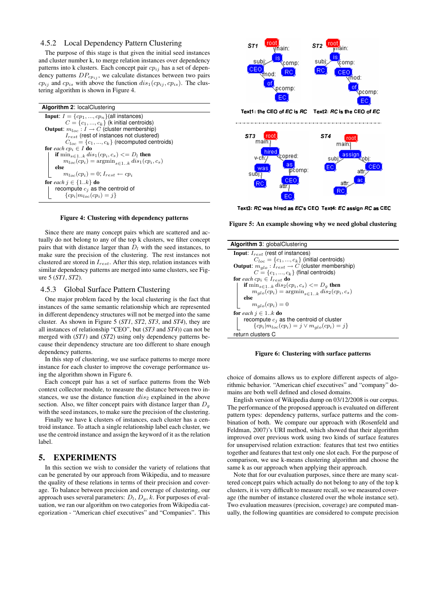#### 4.5.2 Local Dependency Pattern Clustering

The purpose of this stage is that given the initial seed instances and cluster number k, to merge relation instances over dependency patterns into k clusters. Each concept pair  $cp_{ij}$  has a set of dependency patterns  $DP_{cpi}$ , we calculate distances between two pairs  $cp_{ij}$  and  $cp_{is}$  with above the function  $dis_1(cp_{ij}, cp_{is})$ . The clustering algorithm is shown in Figure 4.

| <b>Algorithm 2: localClustering</b>                                                 |
|-------------------------------------------------------------------------------------|
| <b>Input:</b> $I = \{cp_1, , cp_n\}$ (all instances)                                |
| $C = \{c_1, , c_k\}$ (k initial centroids)                                          |
| <b>Output:</b> $m_{loc}: I \rightarrow C$ (cluster membership)                      |
| $I_{rest}$ (rest of instances not clustered)                                        |
| $C_{loc} = \{c_1, , c_k\}$ (recomputed centroids)                                   |
| for each $cp_i \in I$ do                                                            |
| if $\min_{s\in 1k} dis_1(cp_i,c_s)\leq D_l$ then                                    |
| $m_{loc}(cp_i) = \operatorname{argmin}_{s \in 1} k \operatorname{dis}_1(ep_i, c_s)$ |
| else                                                                                |
| $m_{loc}(cp_i) = 0$ ; $I_{rest} \leftarrow cp_i$                                    |
| for each $j \in \{1k\}$ do                                                          |
| recompute $c_i$ as the centroid of                                                  |
| $\{cp_i m_{loc}(cp_i)=j\}$                                                          |

#### Figure 4: Clustering with dependency patterns

Since there are many concept pairs which are scattered and actually do not belong to any of the top k clusters, we filter concept pairs that with distance larger than  $D_l$  with the seed instances, to make sure the precision of the clustering. The rest instances not clustered are stored in  $I_{rest}$ . After this step, relation instances with similar dependency patterns are merged into same clusters, see Figure 5 (*ST1*, *ST2*).

#### 4.5.3 Global Surface Pattern Clustering

One major problem faced by the local clustering is the fact that instances of the same semantic relationship which are represented in different dependency structures will not be merged into the same cluster. As shown in Figure 5 (*ST1*, *ST2*, *ST3*, and *ST4*), they are all instances of relationship "CEO", but (*ST3* and *ST4*)) can not be merged with (*ST1*) and (*ST2*) using only dependency patterns because their dependency structure are too different to share enough dependency patterns.

In this step of clustering, we use surface patterns to merge more instance for each cluster to improve the coverage performance using the algorithm shown in Figure 6.

Each concept pair has a set of surface patterns from the Web context collector module, to measure the distance between two instances, we use the distance function  $dis_2$  explained in the above section. Also, we filter concept pairs with distance larger than  $D<sub>q</sub>$ with the seed instances, to make sure the precision of the clustering.

Finally we have k clusters of instances, each cluster has a centroid instance. To attach a single relationship label each cluster, we use the centroid instance and assign the keyword of it as the relation label.

## 5. EXPERIMENTS

In this section we wish to consider the variety of relations that can be generated by our approach from Wikipedia, and to measure the quality of these relations in terms of their precision and coverage. To balance between precision and coverage of clustering, our approach uses several parameters:  $D_l$ ,  $D_g$ ,  $k$ . For purposes of evaluation, we ran our algorithm on two categories from Wikipedia categorization - "American chief executives" and "Companies". This



Text3: RC was hired as EC's CEO Text4: EC assign RC as CEO

Figure 5: An example showing why we need global clustering

| <b>Algorithm 3: globalClustering</b>                                       |
|----------------------------------------------------------------------------|
| <b>Input:</b> $I_{rest}$ (rest of instances)                               |
| $C_{loc} = \{c_1, , c_k\}$ (initial centroids)                             |
| <b>Output:</b> $m_{glo}: I_{rest} \rightarrow C$ (cluster membership)      |
| $C = \{c_1, , c_k\}$ (final centroids)                                     |
| <b>for</b> each $cp_i \in I_{rest}$ <b>do</b>                              |
| if $\min_{s\in 1k} dis_2(cp_i,c_s) \leq D_q$ then                          |
| $m_{qlo}(cp_i) = \operatorname{argmin}_{s \in 1 \dots k} dis_2(cp_i, c_s)$ |
| else                                                                       |
| $m_{alo}(cp_i)=0$                                                          |
| for each $j \in 1k$ do                                                     |
| recompute $c_j$ as the centroid of cluster                                 |
| ${cp_i   m_{loc}(cp_i) = j \vee m_{glo}(cp_i) = j}$                        |
| return clusters C                                                          |



choice of domains allows us to explore different aspects of algorithmic behavior. "American chief executives" and "company" domains are both well defined and closed domains.

English version of Wikipedia dump on 03/12/2008 is our corpus. The performance of the proposed approach is evaluated on different pattern types: dependency patterns, surface patterns and the combination of both. We compare our approach with (Rosenfeld and Feldman, 2007)'s URI method, which showed that their algorithm improved over previous work using two kinds of surface features for unsupervised relation extraction: features that test two entities together and features that test only one slot each. For the purpose of comparison, we use k-means clustering algorithm and choose the same k as our approach when applying their approach.

Note that for our evaluation purposes, since there are many scattered concept pairs which actually do not belong to any of the top k clusters, it is very difficult to measure recall, so we measured coverage (the number of instance clustered over the whole instance set). Two evaluation measures (precision, coverage) are computed manually, the following quantities are considered to compute precision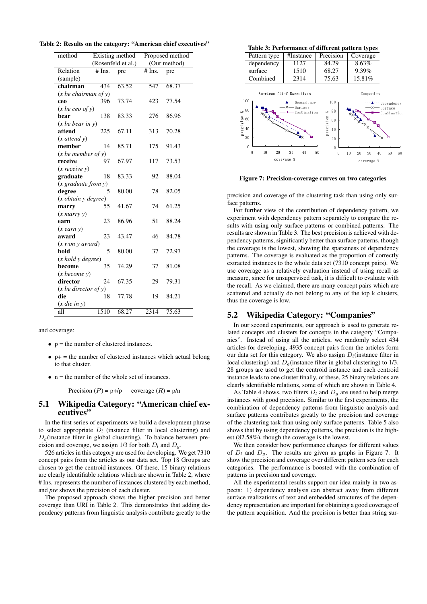| Table 2: Results on the category: "American chief executives" |  |  |  |  |
|---------------------------------------------------------------|--|--|--|--|
|---------------------------------------------------------------|--|--|--|--|

| method                                 | Existing method             |       | Proposed method            |       |
|----------------------------------------|-----------------------------|-------|----------------------------|-------|
|                                        | (Rosenfeld et al.)          |       | (Our method)               |       |
| Relation                               | $\overline{\text{# Ins}}$ . | pre   | $\overline{\text{#}}$ Ins. | pre   |
| (sample)                               |                             |       |                            |       |
| chairman                               | 434                         | 63.52 | 547                        | 68.37 |
| $(x$ be chairman of y)                 |                             |       |                            |       |
| ceo                                    | 396                         | 73.74 | 423                        | 77.54 |
| $(x$ be ceo of y)                      |                             |       |                            |       |
| bear                                   | 138                         | 83.33 | 276                        | 86.96 |
| $(x$ be bear in y                      |                             |       |                            |       |
| attend                                 | 225                         | 67.11 | 313                        | 70.28 |
| $(x$ attend $y)$                       |                             |       |                            |       |
| member                                 | 14                          | 85.71 | 175                        | 91.43 |
| $(x$ be member of y)                   |                             |       |                            |       |
| receive                                | 97                          | 67.97 | 117                        | 73.53 |
| $(x \text{ receive } y)$               |                             |       |                            |       |
| graduate                               | 18                          | 83.33 | 92                         | 88.04 |
|                                        |                             |       |                            |       |
| degree                                 | 5                           | 80.00 | 78                         | 82.05 |
| $(x \text{ obtain } y \text{ degree})$ |                             |       |                            |       |
| marry                                  | 55                          | 41.67 | 74                         | 61.25 |
| $(x$ marry $y)$                        |                             |       |                            |       |
| earn                                   | 23                          | 86.96 | 51                         | 88.24 |
| $(x$ earn $y)$                         |                             |       |                            |       |
| award                                  | 23                          | 43.47 | 46                         | 84.78 |
| $(x$ won $y$ award $)$                 |                             |       |                            |       |
| hold                                   | 5                           | 80.00 | 37                         | 72.97 |
| $(x \text{ hold } y \text{ degree})$   |                             |       |                            |       |
| become                                 | 35                          | 74.29 | 37                         | 81.08 |
| (x become y)                           |                             |       |                            |       |
| director                               | 24                          | 67.35 | 29                         | 79.31 |
| $(x \text{ be director of } y)$        |                             |       |                            |       |
| die                                    | 18                          | 77.78 | 19                         | 84.21 |
| $(x$ die in $y)$                       |                             |       |                            |       |
| all                                    | 1510                        | 68.27 | 2314                       | 75.63 |

and coverage:

- $\bullet$  p = the number of clustered instances.
- $\bullet$  p+ = the number of clustered instances which actual belong to that cluster.
- $\bullet$  n = the number of the whole set of instances.

Precision  $(P) = p + p$  coverage  $(R) = p/n$ 

## 5.1 Wikipedia Category: "American chief executives"

In the first series of experiments we build a development phrase to select appropriate  $D_l$  (instance filter in local clustering) and  $D_q$ (instance filter in global clustering). To balance between precision and coverage, we assign 1/3 for both  $D_l$  and  $D_q$ .

526 articles in this category are used for developing. We get 7310 concept pairs from the articles as our data set. Top 18 Groups are chosen to get the centroid instances. Of these, 15 binary relations are clearly identifiable relations which are shown in Table 2, where # Ins. represents the number of instances clustered by each method, and *pre* shows the precision of each cluster.

The proposed approach shows the higher precision and better coverage than URI in Table 2. This demonstrates that adding dependency patterns from linguistic analysis contribute greatly to the

#### Table 3: Performance of different pattern types



Figure 7: Precision-coverage curves on two categories

precision and coverage of the clustering task than using only surface patterns.

For further view of the contribution of dependency pattern, we experiment with dependency pattern separately to compare the results with using only surface patterns or combined patterns. The results are shown in Table 3. The best precision is achieved with dependency patterns, significantly better than surface patterns, though the coverage is the lowest, showing the sparseness of dependency patterns. The coverage is evaluated as the proportion of correctly extracted instances to the whole data set (7310 concept pairs). We use coverage as a relatively evaluation instead of using recall as measure, since for unsupervised task, it is difficult to evaluate with the recall. As we claimed, there are many concept pairs which are scattered and actually do not belong to any of the top k clusters, thus the coverage is low.

#### 5.2 Wikipedia Category: "Companies"

In our second experiments, our approach is used to generate related concepts and clusters for concepts in the category "Companies". Instead of using all the articles, we randomly select 434 articles for developing, 4935 concept pairs from the articles form our data set for this category. We also assign  $D_l$  (instance filter in local clustering) and  $D_q$ (instance filter in global clustering) to 1/3. 28 groups are used to get the centroid instance and each centroid instance leads to one cluster finally, of these, 25 binary relations are clearly identifiable relations, some of which are shown in Table 4.

As Table 4 shows, two filters  $D_l$  and  $D_q$  are used to help merge instances with good precision. Similar to the first experiments, the combination of dependency patterns from linguistic analysis and surface patterns contributes greatly to the precision and coverage of the clustering task than using only surface patterns. Table 5 also shows that by using dependency patterns, the precision is the highest (82.58%), though the coverage is the lowest.

We then consider how performance changes for different values of  $D_l$  and  $D_q$ . The results are given as graphs in Figure 7. It show the precision and coverage over different pattern sets for each categories. The performance is boosted with the combination of patterns in precision and coverage.

All the experimental results support our idea mainly in two aspects: 1) dependency analysis can abstract away from different surface realizations of text and embedded structures of the dependency representation are important for obtaining a good coverage of the pattern acquisition. And the precision is better than string sur-